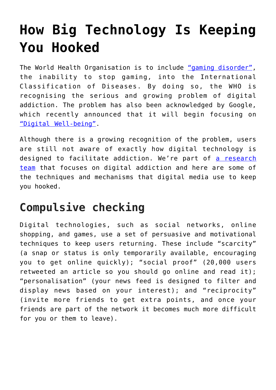## **[How Big Technology Is Keeping](https://intellectualtakeout.org/2018/06/how-big-technology-is-keeping-you-hooked/) [You Hooked](https://intellectualtakeout.org/2018/06/how-big-technology-is-keeping-you-hooked/)**

The World Health Organisation is to include ["gaming disorder",](http://www.who.int/features/qa/gaming-disorder/en/) the inability to stop gaming, into the International Classification of Diseases. By doing so, the WHO is recognising the serious and growing problem of digital addiction. The problem has also been acknowledged by Google, which recently announced that it will begin focusing on ["Digital Well-being"](https://wellbeing.google/).

Although there is a growing recognition of the problem, users are still not aware of exactly how digital technology is designed to facilitate addiction. We're part of [a research](https://research.bournemouth.ac.uk/project/dar/) [team](https://research.bournemouth.ac.uk/project/dar/) that focuses on digital addiction and here are some of the techniques and mechanisms that digital media use to keep you hooked.

## **Compulsive checking**

Digital technologies, such as social networks, online shopping, and games, use a set of persuasive and motivational techniques to keep users returning. These include "scarcity" (a snap or status is only temporarily available, encouraging you to get online quickly); "social proof" (20,000 users retweeted an article so you should go online and read it); "personalisation" (your news feed is designed to filter and display news based on your interest); and "reciprocity" (invite more friends to get extra points, and once your friends are part of the network it becomes much more difficult for you or them to leave).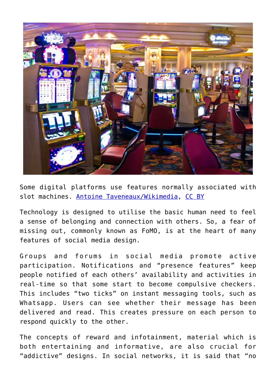

Some digital platforms use features normally associated with slot machines. [Antoine Taveneaux/Wikimedia,](https://commons.wikimedia.org/wiki/File:Slot_machines_in_Venetian.jpg) [CC BY](http://creativecommons.org/licenses/by/4.0/)

Technology is designed to utilise the basic human need to feel a sense of belonging and connection with others. So, a fear of missing out, commonly known as FoMO, is at the heart of many features of social media design.

Groups and forums in social media promote active participation. Notifications and "presence features" keep people notified of each others' availability and activities in real-time so that some start to become compulsive checkers. This includes "two ticks" on instant messaging tools, such as Whatsapp. Users can see whether their message has been delivered and read. This creates pressure on each person to respond quickly to the other.

The concepts of reward and infotainment, material which is both entertaining and informative, are also crucial for "addictive" designs. In social networks, it is said that "no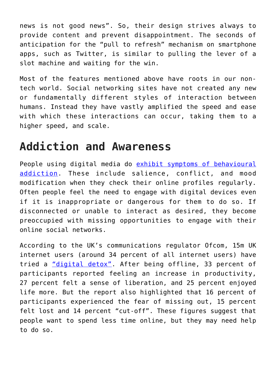news is not good news". So, their design strives always to provide content and prevent disappointment. The seconds of anticipation for the "pull to refresh" mechanism on smartphone apps, such as Twitter, is similar to pulling the lever of a slot machine and waiting for the win.

Most of the features mentioned above have roots in our nontech world. Social networking sites have not created any new or fundamentally different styles of interaction between humans. Instead they have vastly amplified the speed and ease with which these interactions can occur, taking them to a higher speed, and scale.

## **Addiction and Awareness**

People using digital media do [exhibit symptoms of behavioural](http://rali.bournemouth.ac.uk/wp-content/uploads/2015/03/Amen_Alrobai_et_al_REFSQ2014_Digital_Addiction_a_Requirements_Engineering_Perspective.pdf) [addiction.](http://rali.bournemouth.ac.uk/wp-content/uploads/2015/03/Amen_Alrobai_et_al_REFSQ2014_Digital_Addiction_a_Requirements_Engineering_Perspective.pdf) These include salience, conflict, and mood modification when they check their online profiles regularly. Often people feel the need to engage with digital devices even if it is inappropriate or dangerous for them to do so. If disconnected or unable to interact as desired, they become preoccupied with missing opportunities to engage with their online social networks.

According to the UK's communications regulator Ofcom, 15m UK internet users (around 34 percent of all internet users) have tried a ["digital detox"](https://www.ofcom.org.uk/__data/assets/pdf_file/0024/26826/cmr_uk_2016.pdf). After being offline, 33 percent of participants reported feeling an increase in productivity, 27 percent felt a sense of liberation, and 25 percent enjoyed life more. But the report also highlighted that 16 percent of participants experienced the fear of missing out, 15 percent felt lost and 14 percent "cut-off". These figures suggest that people want to spend less time online, but they may need help to do so.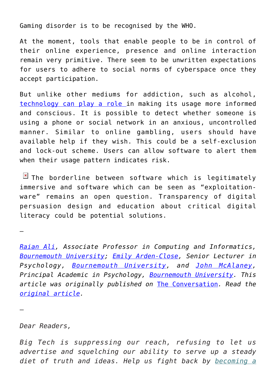Gaming disorder is to be recognised by the WHO.

At the moment, tools that enable people to be in control of their online experience, presence and online interaction remain very primitive. There seem to be unwritten expectations for users to adhere to social norms of cyberspace once they accept participation.

But unlike other mediums for addiction, such as alcohol, [technology can play a role i](https://research.bournemouth.ac.uk/project/dar/)n making its usage more informed and conscious. It is possible to detect whether someone is using a phone or social network in an anxious, uncontrolled manner. Similar to online gambling, users should have available help if they wish. This could be a self-exclusion and lock-out scheme. Users can allow software to alert them when their usage pattern indicates risk.

 $\boxed{\times}$  The borderline between software which is legitimately immersive and software which can be seen as "exploitationware" remains an open question. Transparency of digital persuasion design and education about critical digital literacy could be potential solutions.

—

—

*[Raian Ali](https://theconversation.com/profiles/raian-ali-490049), Associate Professor in Computing and Informatics, [Bournemouth University;](http://theconversation.com/institutions/bournemouth-university-1215) [Emily Arden-Close,](https://theconversation.com/profiles/emily-arden-close-492406) Senior Lecturer in Psychology, [Bournemouth University,](http://theconversation.com/institutions/bournemouth-university-1215) and [John McAlaney,](https://theconversation.com/profiles/john-mcalaney-433407) Principal Academic in Psychology, [Bournemouth University](http://theconversation.com/institutions/bournemouth-university-1215). This article was originally published on* [The Conversation](http://theconversation.com)*. Read the [original article.](https://theconversation.com/digital-addiction-how-technology-keeps-us-hooked-97499)*

*Dear Readers,*

*Big Tech is suppressing our reach, refusing to let us advertise and squelching our ability to serve up a steady diet of truth and ideas. Help us fight back by [becoming a](https://www.chroniclesmagazine.org/subscribe/)*